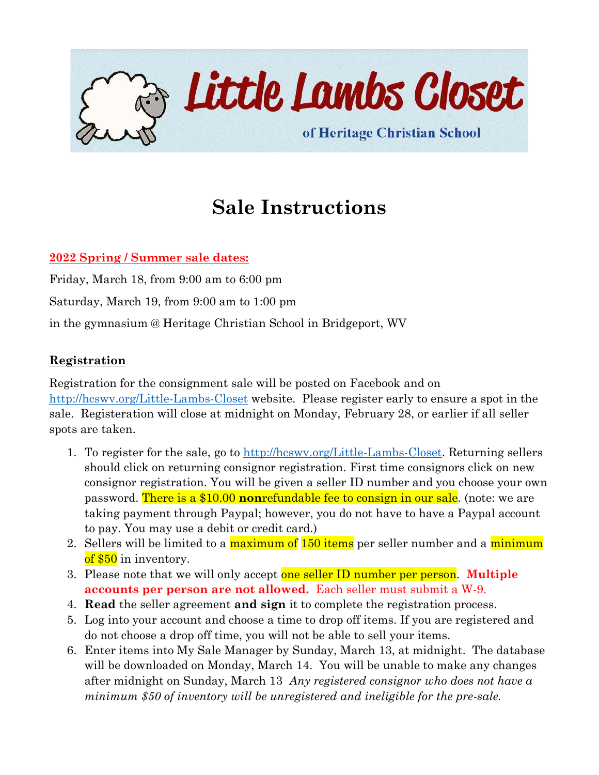

## **Sale Instructions**

### **2022 Spring / Summer sale dates:**

Friday, March 18, from 9:00 am to 6:00 pm Saturday, March 19, from 9:00 am to 1:00 pm in the gymnasium @ Heritage Christian School in Bridgeport, WV

#### **Registration**

Registration for the consignment sale will be posted on Facebook and on <http://hcswv.org/Little-Lambs-Closet> website. Please register early to ensure a spot in the sale. Registeration will close at midnight on Monday, February 28, or earlier if all seller spots are taken.

- 1. To register for the sale, go to [http://hcswv.org/Little-Lambs-Closet.](http://hcswv.org/Little-Lambs-Closet) Returning sellers should click on returning consignor registration. First time consignors click on new consignor registration. You will be given a seller ID number and you choose your own password. There is a \$10.00 **non**refundable fee to consign in our sale. (note: we are taking payment through Paypal; however, you do not have to have a Paypal account to pay. You may use a debit or credit card.)
- 2. Sellers will be limited to a maximum of 150 items per seller number and a minimum of \$50 in inventory.
- 3. Please note that we will only accept one seller ID number per person. **Multiple accounts per person are not allowed.** Each seller must submit a W-9.
- 4. **Read** the seller agreement **and sign** it to complete the registration process.
- 5. Log into your account and choose a time to drop off items. If you are registered and do not choose a drop off time, you will not be able to sell your items.
- 6. Enter items into My Sale Manager by Sunday, March 13, at midnight. The database will be downloaded on Monday, March 14. You will be unable to make any changes after midnight on Sunday, March 13 *Any registered consignor who does not have a minimum \$50 of inventory will be unregistered and ineligible for the pre-sale.*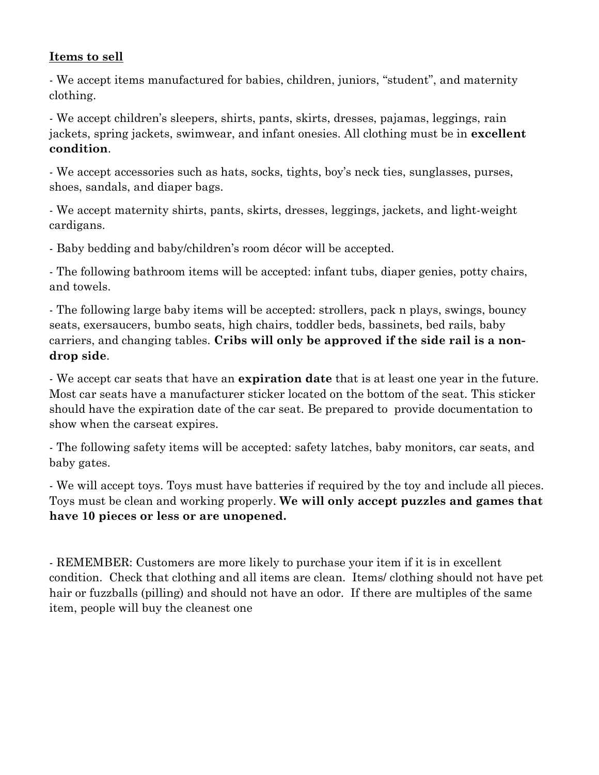### **Items to sell**

- We accept items manufactured for babies, children, juniors, "student", and maternity clothing.

- We accept children's sleepers, shirts, pants, skirts, dresses, pajamas, leggings, rain jackets, spring jackets, swimwear, and infant onesies. All clothing must be in **excellent condition**.

- We accept accessories such as hats, socks, tights, boy's neck ties, sunglasses, purses, shoes, sandals, and diaper bags.

- We accept maternity shirts, pants, skirts, dresses, leggings, jackets, and light-weight cardigans.

- Baby bedding and baby/children's room décor will be accepted.

- The following bathroom items will be accepted: infant tubs, diaper genies, potty chairs, and towels.

- The following large baby items will be accepted: strollers, pack n plays, swings, bouncy seats, exersaucers, bumbo seats, high chairs, toddler beds, bassinets, bed rails, baby carriers, and changing tables. **Cribs will only be approved if the side rail is a nondrop side**.

- We accept car seats that have an **expiration date** that is at least one year in the future. Most car seats have a manufacturer sticker located on the bottom of the seat. This sticker should have the expiration date of the car seat. Be prepared to provide documentation to show when the carseat expires.

- The following safety items will be accepted: safety latches, baby monitors, car seats, and baby gates.

- We will accept toys. Toys must have batteries if required by the toy and include all pieces. Toys must be clean and working properly. **We will only accept puzzles and games that have 10 pieces or less or are unopened.** 

- REMEMBER: Customers are more likely to purchase your item if it is in excellent condition. Check that clothing and all items are clean. Items/ clothing should not have pet hair or fuzzballs (pilling) and should not have an odor. If there are multiples of the same item, people will buy the cleanest one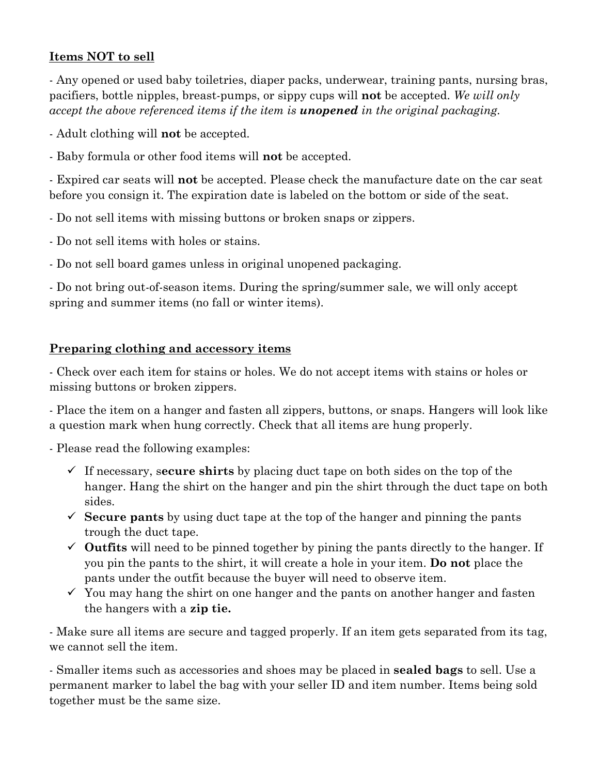## **Items NOT to sell**

- Any opened or used baby toiletries, diaper packs, underwear, training pants, nursing bras, pacifiers, bottle nipples, breast-pumps, or sippy cups will **not** be accepted. *We will only accept the above referenced items if the item is unopened in the original packaging.*

- Adult clothing will **not** be accepted.
- Baby formula or other food items will **not** be accepted.

- Expired car seats will **not** be accepted. Please check the manufacture date on the car seat before you consign it. The expiration date is labeled on the bottom or side of the seat.

- Do not sell items with missing buttons or broken snaps or zippers.
- Do not sell items with holes or stains.
- Do not sell board games unless in original unopened packaging.

- Do not bring out-of-season items. During the spring/summer sale, we will only accept spring and summer items (no fall or winter items).

### **Preparing clothing and accessory items**

- Check over each item for stains or holes. We do not accept items with stains or holes or missing buttons or broken zippers.

- Place the item on a hanger and fasten all zippers, buttons, or snaps. Hangers will look like a question mark when hung correctly. Check that all items are hung properly.

- Please read the following examples:

- ✓ If necessary, s**ecure shirts** by placing duct tape on both sides on the top of the hanger. Hang the shirt on the hanger and pin the shirt through the duct tape on both sides.
- $\checkmark$  **Secure pants** by using duct tape at the top of the hanger and pinning the pants trough the duct tape.
- $\checkmark$  Outfits will need to be pinned together by pining the pants directly to the hanger. If you pin the pants to the shirt, it will create a hole in your item. **Do not** place the pants under the outfit because the buyer will need to observe item.
- $\checkmark$  You may hang the shirt on one hanger and the pants on another hanger and fasten the hangers with a **zip tie.**

- Make sure all items are secure and tagged properly. If an item gets separated from its tag, we cannot sell the item.

- Smaller items such as accessories and shoes may be placed in **sealed bags** to sell. Use a permanent marker to label the bag with your seller ID and item number. Items being sold together must be the same size.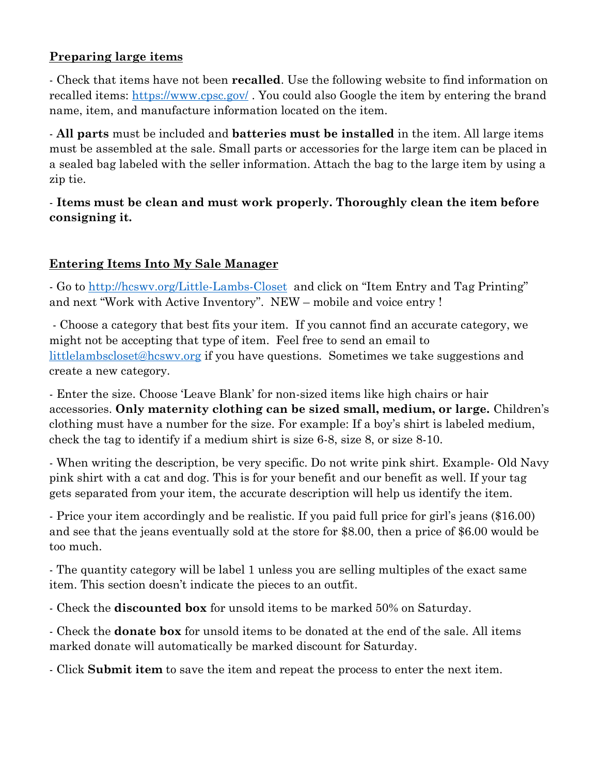## **Preparing large items**

- Check that items have not been **recalled**. Use the following website to find information on recalled items:<https://www.cpsc.gov/> . You could also Google the item by entering the brand name, item, and manufacture information located on the item.

- **All parts** must be included and **batteries must be installed** in the item. All large items must be assembled at the sale. Small parts or accessories for the large item can be placed in a sealed bag labeled with the seller information. Attach the bag to the large item by using a zip tie.

## - **Items must be clean and must work properly. Thoroughly clean the item before consigning it.**

## **Entering Items Into My Sale Manager**

- Go to<http://hcswv.org/Little-Lambs-Closet> and click on "Item Entry and Tag Printing" and next "Work with Active Inventory". NEW – mobile and voice entry !

- Choose a category that best fits your item. If you cannot find an accurate category, we might not be accepting that type of item. Feel free to send an email to [littlelambscloset@hcswv.org](mailto:littlelambscloset@hcswv.org) if you have questions. Sometimes we take suggestions and create a new category.

- Enter the size. Choose 'Leave Blank' for non-sized items like high chairs or hair accessories. **Only maternity clothing can be sized small, medium, or large.** Children's clothing must have a number for the size. For example: If a boy's shirt is labeled medium, check the tag to identify if a medium shirt is size 6-8, size 8, or size 8-10.

- When writing the description, be very specific. Do not write pink shirt. Example- Old Navy pink shirt with a cat and dog. This is for your benefit and our benefit as well. If your tag gets separated from your item, the accurate description will help us identify the item.

- Price your item accordingly and be realistic. If you paid full price for girl's jeans (\$16.00) and see that the jeans eventually sold at the store for \$8.00, then a price of \$6.00 would be too much.

- The quantity category will be label 1 unless you are selling multiples of the exact same item. This section doesn't indicate the pieces to an outfit.

- Check the **discounted box** for unsold items to be marked 50% on Saturday.

- Check the **donate box** for unsold items to be donated at the end of the sale. All items marked donate will automatically be marked discount for Saturday.

- Click **Submit item** to save the item and repeat the process to enter the next item.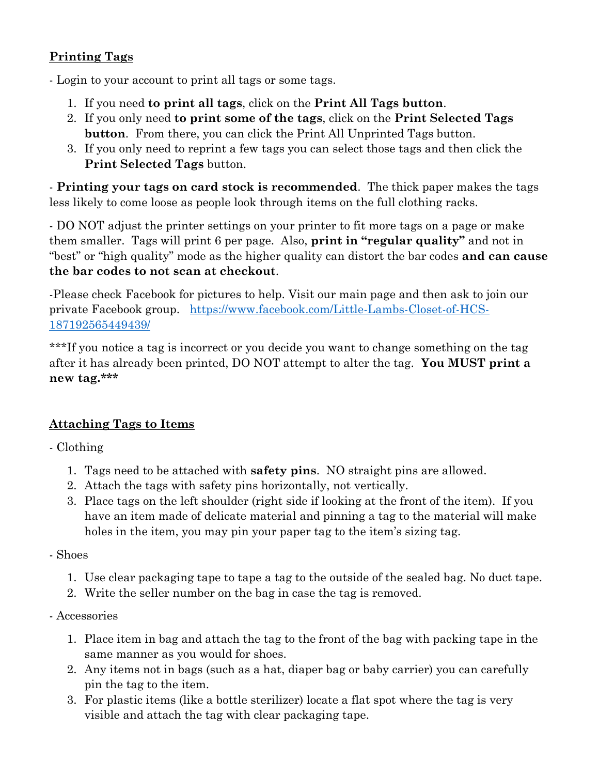## **Printing Tags**

- Login to your account to print all tags or some tags.

- 1. If you need **to print all tags**, click on the **Print All Tags button**.
- 2. If you only need **to print some of the tags**, click on the **Print Selected Tags button**. From there, you can click the Print All Unprinted Tags button.
- 3. If you only need to reprint a few tags you can select those tags and then click the **Print Selected Tags** button.

- **Printing your tags on card stock is recommended**. The thick paper makes the tags less likely to come loose as people look through items on the full clothing racks.

- DO NOT adjust the printer settings on your printer to fit more tags on a page or make them smaller. Tags will print 6 per page. Also, **print in "regular quality"** and not in "best" or "high quality" mode as the higher quality can distort the bar codes **and can cause the bar codes to not scan at checkout**.

-Please check Facebook for pictures to help. Visit our main page and then ask to join our private Facebook group. [https://www.facebook.com/Little-Lambs-Closet-of-HCS-](https://www.facebook.com/Little-Lambs-Closet-of-HCS-187192565449439/)[187192565449439/](https://www.facebook.com/Little-Lambs-Closet-of-HCS-187192565449439/)

\*\*\*If you notice a tag is incorrect or you decide you want to change something on the tag after it has already been printed, DO NOT attempt to alter the tag. **You MUST print a new tag.\*\*\***

## **Attaching Tags to Items**

- Clothing

- 1. Tags need to be attached with **safety pins**. NO straight pins are allowed.
- 2. Attach the tags with safety pins horizontally, not vertically.
- 3. Place tags on the left shoulder (right side if looking at the front of the item). If you have an item made of delicate material and pinning a tag to the material will make holes in the item, you may pin your paper tag to the item's sizing tag.

- Shoes

- 1. Use clear packaging tape to tape a tag to the outside of the sealed bag. No duct tape.
- 2. Write the seller number on the bag in case the tag is removed.
- Accessories
	- 1. Place item in bag and attach the tag to the front of the bag with packing tape in the same manner as you would for shoes.
	- 2. Any items not in bags (such as a hat, diaper bag or baby carrier) you can carefully pin the tag to the item.
	- 3. For plastic items (like a bottle sterilizer) locate a flat spot where the tag is very visible and attach the tag with clear packaging tape.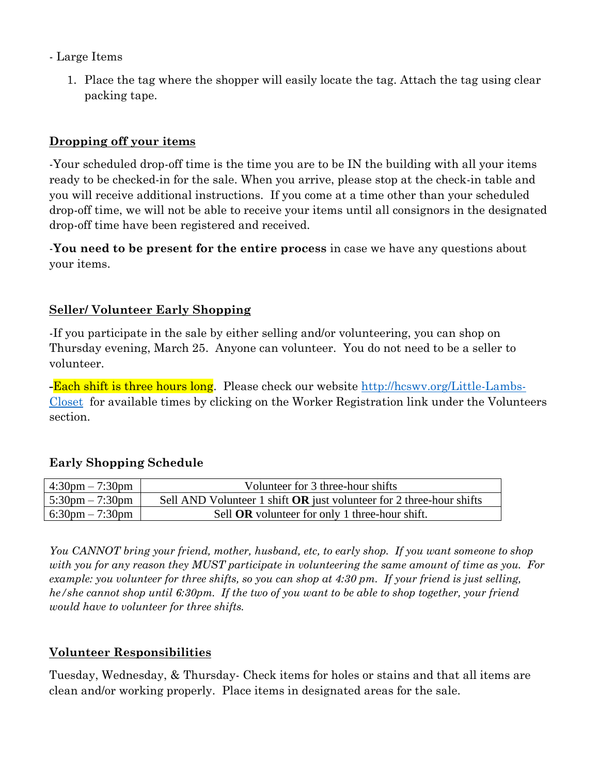#### - Large Items

1. Place the tag where the shopper will easily locate the tag. Attach the tag using clear packing tape.

#### **Dropping off your items**

-Your scheduled drop-off time is the time you are to be IN the building with all your items ready to be checked-in for the sale. When you arrive, please stop at the check-in table and you will receive additional instructions. If you come at a time other than your scheduled drop-off time, we will not be able to receive your items until all consignors in the designated drop-off time have been registered and received.

-**You need to be present for the entire process** in case we have any questions about your items.

#### **Seller/ Volunteer Early Shopping**

-If you participate in the sale by either selling and/or volunteering, you can shop on Thursday evening, March 25. Anyone can volunteer. You do not need to be a seller to volunteer.

**-**Each shift is three hours long. Please check our website [http://hcswv.org/Little-Lambs-](http://hcswv.org/Little-Lambs-Closet)[Closet](http://hcswv.org/Little-Lambs-Closet) for available times by clicking on the Worker Registration link under the Volunteers section.

#### **Early Shopping Schedule**

| $4:30 \text{pm} - 7:30 \text{pm}$ | Volunteer for 3 three-hour shifts                                    |
|-----------------------------------|----------------------------------------------------------------------|
| $5:30 \text{pm} - 7:30 \text{pm}$ | Sell AND Volunteer 1 shift OR just volunteer for 2 three-hour shifts |
| $6:30 \text{pm} - 7:30 \text{pm}$ | Sell OR volunteer for only 1 three-hour shift.                       |

*You CANNOT bring your friend, mother, husband, etc, to early shop. If you want someone to shop with you for any reason they MUST participate in volunteering the same amount of time as you. For example: you volunteer for three shifts, so you can shop at 4:30 pm. If your friend is just selling, he/she cannot shop until 6:30pm. If the two of you want to be able to shop together, your friend would have to volunteer for three shifts.*

#### **Volunteer Responsibilities**

Tuesday, Wednesday, & Thursday- Check items for holes or stains and that all items are clean and/or working properly. Place items in designated areas for the sale.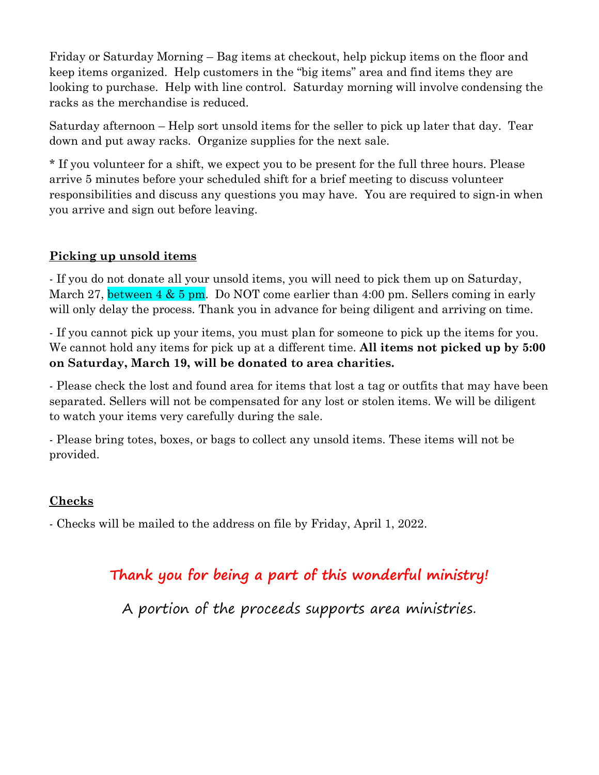Friday or Saturday Morning – Bag items at checkout, help pickup items on the floor and keep items organized. Help customers in the "big items" area and find items they are looking to purchase. Help with line control. Saturday morning will involve condensing the racks as the merchandise is reduced.

Saturday afternoon – Help sort unsold items for the seller to pick up later that day. Tear down and put away racks. Organize supplies for the next sale.

\* If you volunteer for a shift, we expect you to be present for the full three hours. Please arrive 5 minutes before your scheduled shift for a brief meeting to discuss volunteer responsibilities and discuss any questions you may have. You are required to sign-in when you arrive and sign out before leaving.

## **Picking up unsold items**

- If you do not donate all your unsold items, you will need to pick them up on Saturday, March 27, between  $4 \& 5 \text{ pm}$ . Do NOT come earlier than 4:00 pm. Sellers coming in early will only delay the process. Thank you in advance for being diligent and arriving on time.

- If you cannot pick up your items, you must plan for someone to pick up the items for you. We cannot hold any items for pick up at a different time. **All items not picked up by 5:00 on Saturday, March 19, will be donated to area charities.**

- Please check the lost and found area for items that lost a tag or outfits that may have been separated. Sellers will not be compensated for any lost or stolen items. We will be diligent to watch your items very carefully during the sale.

- Please bring totes, boxes, or bags to collect any unsold items. These items will not be provided.

## **Checks**

- Checks will be mailed to the address on file by Friday, April 1, 2022.

## **Thank you for being a part of this wonderful ministry!**

A portion of the proceeds supports area ministries.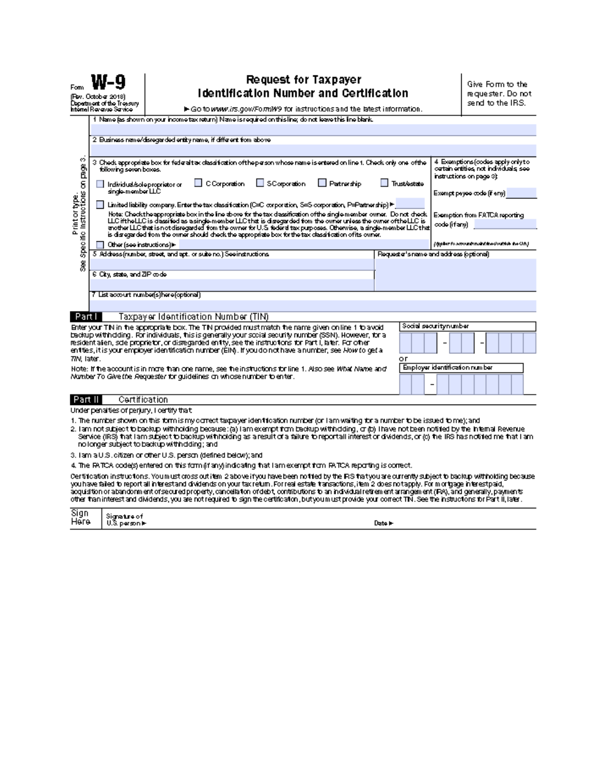| Form                                                                                                                                                                                                              | (Rw. October 2018)<br>Depatment of the Treasury<br>Internal Revenue Service                                                                                                                                                                                                                                                        | Request for Taxpayer<br><b>Identification Number and Certification</b><br>► Go to www.irs.gov/FormW9 for instructions and the latest information. |                                          |                                                                                                       | Give Form to the<br>requester. Do not<br>send to the IRS. |  |  |  |
|-------------------------------------------------------------------------------------------------------------------------------------------------------------------------------------------------------------------|------------------------------------------------------------------------------------------------------------------------------------------------------------------------------------------------------------------------------------------------------------------------------------------------------------------------------------|---------------------------------------------------------------------------------------------------------------------------------------------------|------------------------------------------|-------------------------------------------------------------------------------------------------------|-----------------------------------------------------------|--|--|--|
|                                                                                                                                                                                                                   |                                                                                                                                                                                                                                                                                                                                    | 1 Name fas shown on your income tax return) Name is required on this line; do not leave this line blank.                                          |                                          |                                                                                                       |                                                           |  |  |  |
|                                                                                                                                                                                                                   |                                                                                                                                                                                                                                                                                                                                    |                                                                                                                                                   |                                          |                                                                                                       |                                                           |  |  |  |
|                                                                                                                                                                                                                   | 2 Eusiness nane/disregarded entity name, if different from above                                                                                                                                                                                                                                                                   |                                                                                                                                                   |                                          |                                                                                                       |                                                           |  |  |  |
|                                                                                                                                                                                                                   |                                                                                                                                                                                                                                                                                                                                    |                                                                                                                                                   |                                          |                                                                                                       |                                                           |  |  |  |
| ø<br>ega vo<br>Print or type.<br>clistructions                                                                                                                                                                    | 3 Check appropriate box for federal tax classification of the person whose name is entered on line 1. Check only one of the<br>following seven boxes.<br>C Corporation<br>SCorporation<br>Patrership<br>TrustAstate<br>Individual/sole propriator or                                                                               |                                                                                                                                                   |                                          | 4 Exemptions (codes apply only to )<br>cetan entities not individuals see<br>instructions on page 3): |                                                           |  |  |  |
|                                                                                                                                                                                                                   | single-member LLC                                                                                                                                                                                                                                                                                                                  |                                                                                                                                                   |                                          |                                                                                                       | Exempt payee code (if any) i                              |  |  |  |
|                                                                                                                                                                                                                   | Limited liability company. Enter the tax classification (C=C corporation, S=S corporation, P=Partnership) P=                                                                                                                                                                                                                       |                                                                                                                                                   |                                          |                                                                                                       |                                                           |  |  |  |
|                                                                                                                                                                                                                   | Note: Checkthe appropriate box in the line above for the tax dassification of the single-member owner. Do not check                                                                                                                                                                                                                |                                                                                                                                                   |                                          | Exemption from FATCA reporting                                                                        |                                                           |  |  |  |
|                                                                                                                                                                                                                   | LLC ifthe LLC is dessifed as a single-member LLC that is disregarded from the owner unless the owner of the LLC is                                                                                                                                                                                                                 |                                                                                                                                                   |                                          | code (ifanv)                                                                                          |                                                           |  |  |  |
|                                                                                                                                                                                                                   | another LLC that is not disregarded from the owner for U.S. federal tax purposes. Otherwise, a single-member LLC that<br>is disregarded from the owner should check the appropriate box for the tax classification of its owner.                                                                                                   |                                                                                                                                                   |                                          |                                                                                                       |                                                           |  |  |  |
| Specific                                                                                                                                                                                                          | Other (see instructions))-                                                                                                                                                                                                                                                                                                         |                                                                                                                                                   |                                          |                                                                                                       | (Applier to smooth maintained outside the OA).            |  |  |  |
|                                                                                                                                                                                                                   | 5 Address (number, street, and apt. or suite no.) See instructions.                                                                                                                                                                                                                                                                |                                                                                                                                                   | Request a "s name and address (optional) |                                                                                                       |                                                           |  |  |  |
| 8                                                                                                                                                                                                                 |                                                                                                                                                                                                                                                                                                                                    |                                                                                                                                                   |                                          |                                                                                                       |                                                           |  |  |  |
|                                                                                                                                                                                                                   | 6 City, state, and ZIP code                                                                                                                                                                                                                                                                                                        |                                                                                                                                                   |                                          |                                                                                                       |                                                           |  |  |  |
|                                                                                                                                                                                                                   |                                                                                                                                                                                                                                                                                                                                    |                                                                                                                                                   |                                          |                                                                                                       |                                                           |  |  |  |
|                                                                                                                                                                                                                   |                                                                                                                                                                                                                                                                                                                                    | 7 List account number(s) here (optional)                                                                                                          |                                          |                                                                                                       |                                                           |  |  |  |
|                                                                                                                                                                                                                   |                                                                                                                                                                                                                                                                                                                                    |                                                                                                                                                   |                                          |                                                                                                       |                                                           |  |  |  |
| Part I                                                                                                                                                                                                            |                                                                                                                                                                                                                                                                                                                                    | Taxpayer Identification Number (TIN)                                                                                                              |                                          |                                                                                                       |                                                           |  |  |  |
|                                                                                                                                                                                                                   |                                                                                                                                                                                                                                                                                                                                    | Enter your TIN in the appropriate box. The TIN provided must match the name given online 1 to avoid.                                              | Social security number                   |                                                                                                       |                                                           |  |  |  |
|                                                                                                                                                                                                                   | backup withholding. For individuals, this is generally your social security number (SSN). However, tor a<br>resident allen, scie proprietor, or disregarded en ity, see the instructions for Part I, later. For other<br>entties, it is your employer identification number (EIN). If you do not have a number, see How to get all |                                                                                                                                                   |                                          |                                                                                                       |                                                           |  |  |  |
| 77N, later.                                                                                                                                                                                                       |                                                                                                                                                                                                                                                                                                                                    |                                                                                                                                                   |                                          |                                                                                                       |                                                           |  |  |  |
| Employer identification number<br>Note: If the account is in more than one name, see the instructions for line 1. Also see What Name and<br>Number To Give the Requester for quidelines an whose number to enter. |                                                                                                                                                                                                                                                                                                                                    |                                                                                                                                                   |                                          |                                                                                                       |                                                           |  |  |  |

| Part III | Certification |  |
|----------|---------------|--|
|          |               |  |

Under penalties of parjury, I certify that

- 1. The number shown on this torm is my correct taxpayer identification number (or liam waiting for a number to be issued to me); and
- 2. I'm not subject to backup witholding because (a) lamexempt from backup witholding, or (b) lhave not been notified by the internal Revenue<br>Service (IRS) that lam subject to backup witholding as a result of a falure to re no longer subject to backup with dding; and

3. I am a U.S. citizen or other U.S. person (defined below); and

4. The FATCA code(s) entered on this form (if any) indicating that I am exempt from FATCA reporting is correct.

Certification instructions. You must cross out item 2 above if you have been notified by the RS traityou are currently subject to backup witholding because<br>you have failed to report all interestand dividends on your tax re

| Sign<br>Here | Signature of<br>U.S. person ⊫ |         |  |
|--------------|-------------------------------|---------|--|
|              |                               | Date in |  |